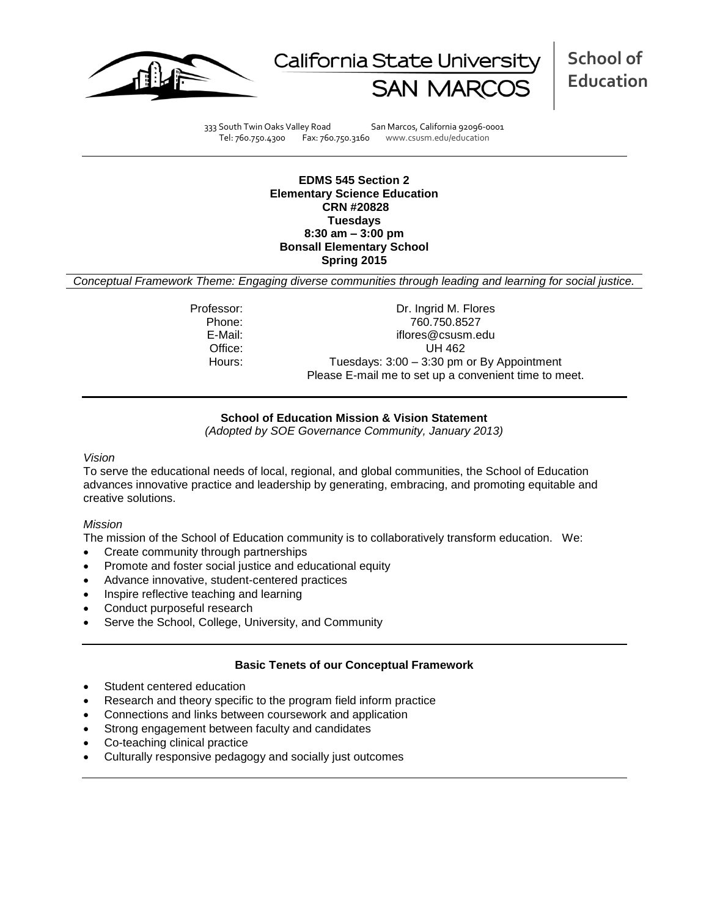



**School of Education**

333 South Twin Oaks Valley Road San Marcos, California 92096-0001<br>Tel: 760.750.4300 Fax: 760.750.3160 www.csusm.edu/education

www.csusm.edu/education

**EDMS 545 Section 2 Elementary Science Education CRN #20828 Tuesdays 8:30 am – 3:00 pm Bonsall Elementary School Spring 2015**

*Conceptual Framework Theme: Engaging diverse communities through leading and learning for social justice.*

Professor: Dr. Ingrid M. Flores Phone: 760.750.8527 E-Mail: iflores@csusm.edu Office: UH 462 Hours: Tuesdays: 3:00 – 3:30 pm or By Appointment Please E-mail me to set up a convenient time to meet.

### **School of Education Mission & Vision Statement**

*(Adopted by SOE Governance Community, January 2013)*

*Vision*

To serve the educational needs of local, regional, and global communities, the School of Education advances innovative practice and leadership by generating, embracing, and promoting equitable and creative solutions.

### *Mission*

The mission of the School of Education community is to collaboratively transform education. We:

- Create community through partnerships
- Promote and foster social justice and educational equity
- Advance innovative, student-centered practices
- Inspire reflective teaching and learning
- Conduct purposeful research
- Serve the School, College, University, and Community

# **Basic Tenets of our Conceptual Framework**

- Student centered education
- Research and theory specific to the program field inform practice
- Connections and links between coursework and application
- Strong engagement between faculty and candidates
- Co-teaching clinical practice
- Culturally responsive pedagogy and socially just outcomes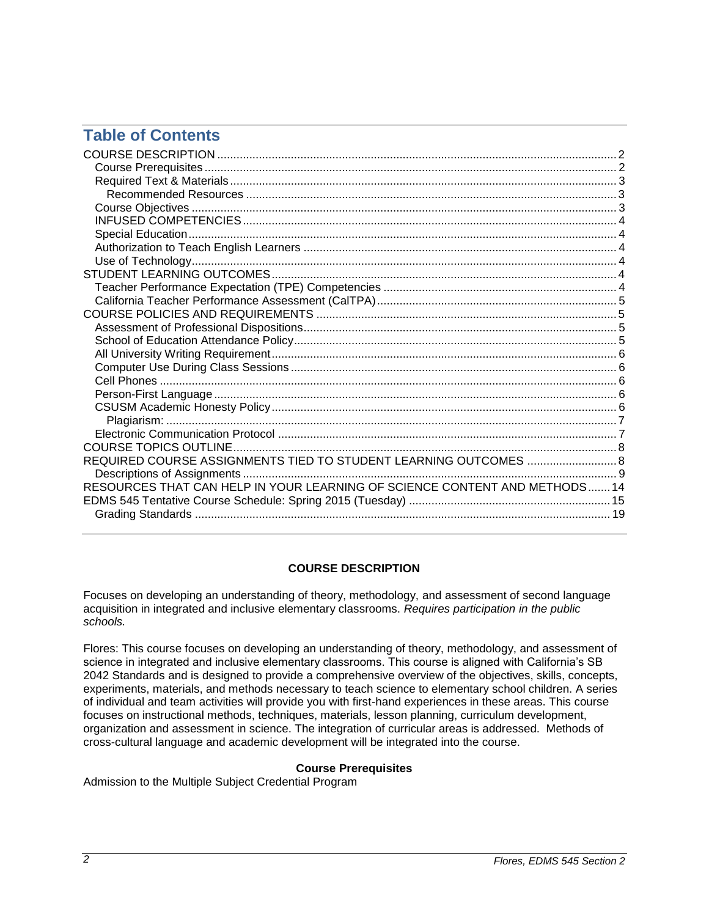# **Table of Contents**

| REQUIRED COURSE ASSIGNMENTS TIED TO STUDENT LEARNING OUTCOMES  8<br>RESOURCES THAT CAN HELP IN YOUR LEARNING OF SCIENCE CONTENT AND METHODS 14 |  |
|------------------------------------------------------------------------------------------------------------------------------------------------|--|
|                                                                                                                                                |  |

# **COURSE DESCRIPTION**

<span id="page-1-0"></span>Focuses on developing an understanding of theory, methodology, and assessment of second language acquisition in integrated and inclusive elementary classrooms. *Requires participation in the public schools.*

Flores: This course focuses on developing an understanding of theory, methodology, and assessment of science in integrated and inclusive elementary classrooms. This course is aligned with California's SB 2042 Standards and is designed to provide a comprehensive overview of the objectives, skills, concepts, experiments, materials, and methods necessary to teach science to elementary school children. A series of individual and team activities will provide you with first-hand experiences in these areas. This course focuses on instructional methods, techniques, materials, lesson planning, curriculum development, organization and assessment in science. The integration of curricular areas is addressed. Methods of cross-cultural language and academic development will be integrated into the course.

# **Course Prerequisites**

<span id="page-1-2"></span><span id="page-1-1"></span>Admission to the Multiple Subject Credential Program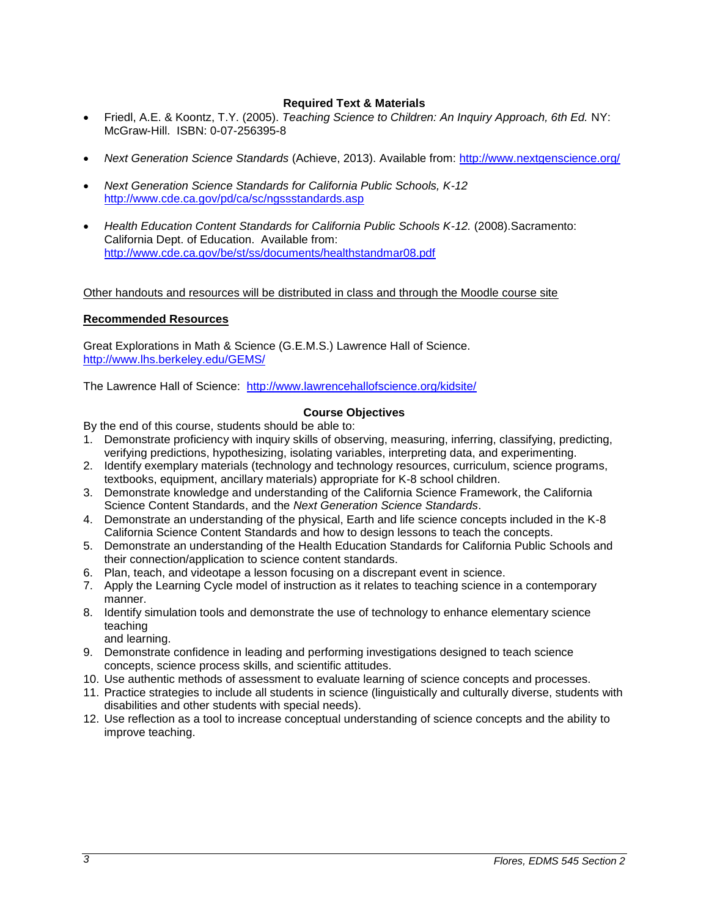# **Required Text & Materials**

- Friedl, A.E. & Koontz, T.Y. (2005). *Teaching Science to Children: An Inquiry Approach, 6th Ed.* NY: McGraw-Hill. ISBN: 0-07-256395-8
- *Next Generation Science Standards* (Achieve, 2013). Available from:<http://www.nextgenscience.org/>
- *Next Generation Science Standards for California Public Schools, K-12* <http://www.cde.ca.gov/pd/ca/sc/ngssstandards.asp>
- *Health Education Content Standards for California Public Schools K-12.* (2008).Sacramento: California Dept. of Education. Available from: <http://www.cde.ca.gov/be/st/ss/documents/healthstandmar08.pdf>

# Other handouts and resources will be distributed in class and through the Moodle course site

### <span id="page-2-0"></span>**Recommended Resources**

Great Explorations in Math & Science (G.E.M.S.) Lawrence Hall of Science. <http://www.lhs.berkeley.edu/GEMS/>

The Lawrence Hall of Science: <http://www.lawrencehallofscience.org/kidsite/>

### **Course Objectives**

<span id="page-2-1"></span>By the end of this course, students should be able to:

- 1. Demonstrate proficiency with inquiry skills of observing, measuring, inferring, classifying, predicting, verifying predictions, hypothesizing, isolating variables, interpreting data, and experimenting.
- 2. Identify exemplary materials (technology and technology resources, curriculum, science programs, textbooks, equipment, ancillary materials) appropriate for K-8 school children.
- 3. Demonstrate knowledge and understanding of the California Science Framework, the California Science Content Standards, and the *Next Generation Science Standards*.
- 4. Demonstrate an understanding of the physical, Earth and life science concepts included in the K-8 California Science Content Standards and how to design lessons to teach the concepts.
- 5. Demonstrate an understanding of the Health Education Standards for California Public Schools and their connection/application to science content standards.
- 6. Plan, teach, and videotape a lesson focusing on a discrepant event in science.
- 7. Apply the Learning Cycle model of instruction as it relates to teaching science in a contemporary manner.
- 8. Identify simulation tools and demonstrate the use of technology to enhance elementary science teaching

and learning.

- 9. Demonstrate confidence in leading and performing investigations designed to teach science concepts, science process skills, and scientific attitudes.
- 10. Use authentic methods of assessment to evaluate learning of science concepts and processes.
- 11. Practice strategies to include all students in science (linguistically and culturally diverse, students with disabilities and other students with special needs).
- <span id="page-2-2"></span>12. Use reflection as a tool to increase conceptual understanding of science concepts and the ability to improve teaching.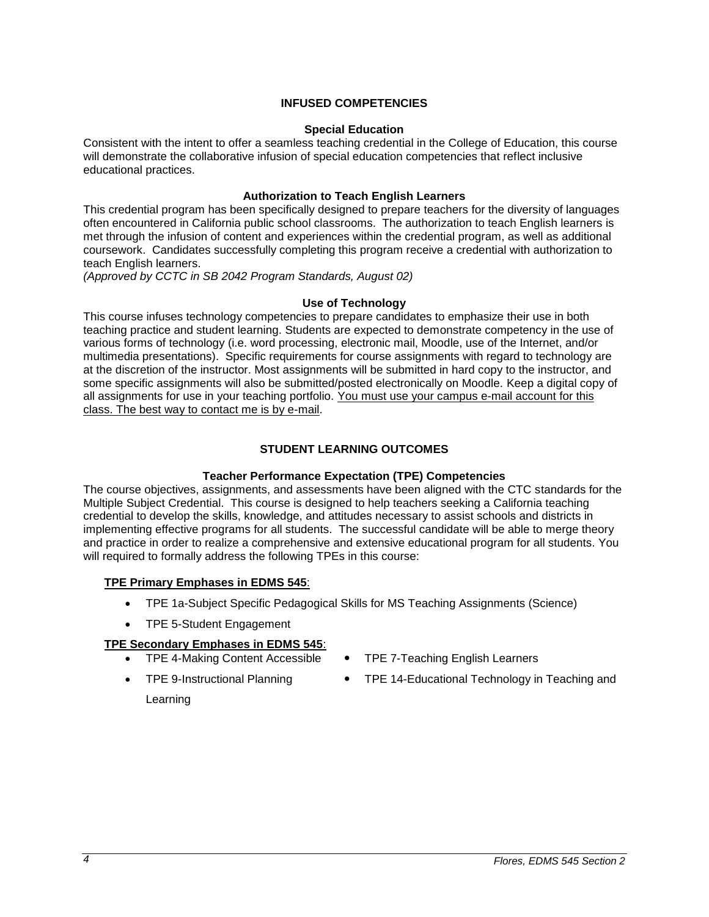### **INFUSED COMPETENCIES**

### **Special Education**

<span id="page-3-0"></span>Consistent with the intent to offer a seamless teaching credential in the College of Education, this course will demonstrate the collaborative infusion of special education competencies that reflect inclusive educational practices.

### **Authorization to Teach English Learners**

<span id="page-3-1"></span>This credential program has been specifically designed to prepare teachers for the diversity of languages often encountered in California public school classrooms. The authorization to teach English learners is met through the infusion of content and experiences within the credential program, as well as additional coursework. Candidates successfully completing this program receive a credential with authorization to teach English learners.

*(Approved by CCTC in SB 2042 Program Standards, August 02)*

### **Use of Technology**

<span id="page-3-2"></span>This course infuses technology competencies to prepare candidates to emphasize their use in both teaching practice and student learning. Students are expected to demonstrate competency in the use of various forms of technology (i.e. word processing, electronic mail, Moodle, use of the Internet, and/or multimedia presentations). Specific requirements for course assignments with regard to technology are at the discretion of the instructor. Most assignments will be submitted in hard copy to the instructor, and some specific assignments will also be submitted/posted electronically on Moodle. Keep a digital copy of all assignments for use in your teaching portfolio. You must use your campus e-mail account for this class. The best way to contact me is by e-mail.

# **STUDENT LEARNING OUTCOMES**

# **Teacher Performance Expectation (TPE) Competencies**

<span id="page-3-4"></span><span id="page-3-3"></span>The course objectives, assignments, and assessments have been aligned with the CTC standards for the Multiple Subject Credential. This course is designed to help teachers seeking a California teaching credential to develop the skills, knowledge, and attitudes necessary to assist schools and districts in implementing effective programs for all students. The successful candidate will be able to merge theory and practice in order to realize a comprehensive and extensive educational program for all students. You will required to formally address the following TPEs in this course:

# **TPE Primary Emphases in EDMS 545**:

- TPE 1a-Subject Specific Pedagogical Skills for MS Teaching Assignments (Science)
- TPE 5-Student Engagement

# **TPE Secondary Emphases in EDMS 545**:

- 
- TPE 4-Making Content Accessible TPE 7-Teaching English Learners
- 
- <span id="page-3-5"></span>• TPE 9-Instructional Planning • TPE 14-Educational Technology in Teaching and
	- Learning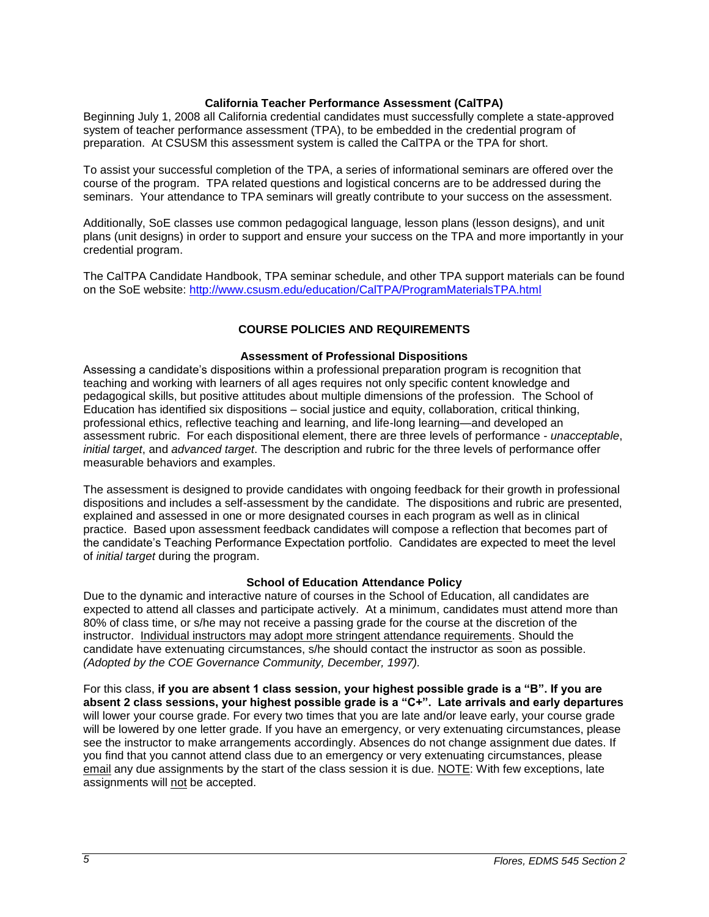### **California Teacher Performance Assessment (CalTPA)**

Beginning July 1, 2008 all California credential candidates must successfully complete a state-approved system of teacher performance assessment (TPA), to be embedded in the credential program of preparation. At CSUSM this assessment system is called the CalTPA or the TPA for short.

To assist your successful completion of the TPA, a series of informational seminars are offered over the course of the program. TPA related questions and logistical concerns are to be addressed during the seminars. Your attendance to TPA seminars will greatly contribute to your success on the assessment.

Additionally, SoE classes use common pedagogical language, lesson plans (lesson designs), and unit plans (unit designs) in order to support and ensure your success on the TPA and more importantly in your credential program.

The CalTPA Candidate Handbook, TPA seminar schedule, and other TPA support materials can be found on the SoE website: <http://www.csusm.edu/education/CalTPA/ProgramMaterialsTPA.html>

### **COURSE POLICIES AND REQUIREMENTS**

### **Assessment of Professional Dispositions**

<span id="page-4-1"></span><span id="page-4-0"></span>Assessing a candidate's dispositions within a professional preparation program is recognition that teaching and working with learners of all ages requires not only specific content knowledge and pedagogical skills, but positive attitudes about multiple dimensions of the profession. The School of Education has identified six dispositions – social justice and equity, collaboration, critical thinking, professional ethics, reflective teaching and learning, and life-long learning—and developed an assessment rubric. For each dispositional element, there are three levels of performance - *unacceptable*, *initial target*, and *advanced target*. The description and rubric for the three levels of performance offer measurable behaviors and examples.

The assessment is designed to provide candidates with ongoing feedback for their growth in professional dispositions and includes a self-assessment by the candidate. The dispositions and rubric are presented, explained and assessed in one or more designated courses in each program as well as in clinical practice. Based upon assessment feedback candidates will compose a reflection that becomes part of the candidate's Teaching Performance Expectation portfolio. Candidates are expected to meet the level of *initial target* during the program.

### **School of Education Attendance Policy**

<span id="page-4-2"></span>Due to the dynamic and interactive nature of courses in the School of Education, all candidates are expected to attend all classes and participate actively. At a minimum, candidates must attend more than 80% of class time, or s/he may not receive a passing grade for the course at the discretion of the instructor. Individual instructors may adopt more stringent attendance requirements. Should the candidate have extenuating circumstances, s/he should contact the instructor as soon as possible. *(Adopted by the COE Governance Community, December, 1997).*

<span id="page-4-3"></span>For this class, **if you are absent 1 class session, your highest possible grade is a "B". If you are absent 2 class sessions, your highest possible grade is a "C+". Late arrivals and early departures** will lower your course grade. For every two times that you are late and/or leave early, your course grade will be lowered by one letter grade. If you have an emergency, or very extenuating circumstances, please see the instructor to make arrangements accordingly. Absences do not change assignment due dates. If you find that you cannot attend class due to an emergency or very extenuating circumstances, please email any due assignments by the start of the class session it is due. NOTE: With few exceptions, late assignments will not be accepted.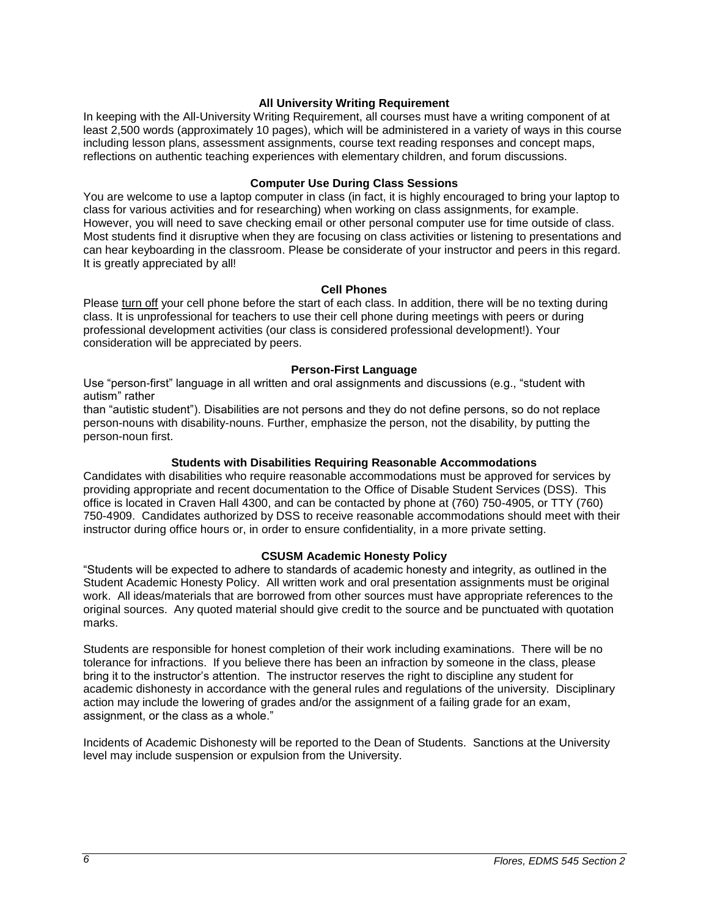### **All University Writing Requirement**

In keeping with the All-University Writing Requirement, all courses must have a writing component of at least 2,500 words (approximately 10 pages), which will be administered in a variety of ways in this course including lesson plans, assessment assignments, course text reading responses and concept maps, reflections on authentic teaching experiences with elementary children, and forum discussions.

### **Computer Use During Class Sessions**

<span id="page-5-0"></span>You are welcome to use a laptop computer in class (in fact, it is highly encouraged to bring your laptop to class for various activities and for researching) when working on class assignments, for example. However, you will need to save checking email or other personal computer use for time outside of class. Most students find it disruptive when they are focusing on class activities or listening to presentations and can hear keyboarding in the classroom. Please be considerate of your instructor and peers in this regard. It is greatly appreciated by all!

### **Cell Phones**

<span id="page-5-1"></span>Please turn off your cell phone before the start of each class. In addition, there will be no texting during class. It is unprofessional for teachers to use their cell phone during meetings with peers or during professional development activities (our class is considered professional development!). Your consideration will be appreciated by peers.

### **Person-First Language**

<span id="page-5-2"></span>Use "person-first" language in all written and oral assignments and discussions (e.g., "student with autism" rather

than "autistic student"). Disabilities are not persons and they do not define persons, so do not replace person-nouns with disability-nouns. Further, emphasize the person, not the disability, by putting the person-noun first.

#### **Students with Disabilities Requiring Reasonable Accommodations**

Candidates with disabilities who require reasonable accommodations must be approved for services by providing appropriate and recent documentation to the Office of Disable Student Services (DSS). This office is located in Craven Hall 4300, and can be contacted by phone at (760) 750-4905, or TTY (760) 750-4909. Candidates authorized by DSS to receive reasonable accommodations should meet with their instructor during office hours or, in order to ensure confidentiality, in a more private setting.

### **CSUSM Academic Honesty Policy**

<span id="page-5-3"></span>"Students will be expected to adhere to standards of academic honesty and integrity, as outlined in the Student Academic Honesty Policy. All written work and oral presentation assignments must be original work. All ideas/materials that are borrowed from other sources must have appropriate references to the original sources. Any quoted material should give credit to the source and be punctuated with quotation marks.

Students are responsible for honest completion of their work including examinations. There will be no tolerance for infractions. If you believe there has been an infraction by someone in the class, please bring it to the instructor's attention. The instructor reserves the right to discipline any student for academic dishonesty in accordance with the general rules and regulations of the university. Disciplinary action may include the lowering of grades and/or the assignment of a failing grade for an exam, assignment, or the class as a whole."

<span id="page-5-4"></span>Incidents of Academic Dishonesty will be reported to the Dean of Students. Sanctions at the University level may include suspension or expulsion from the University.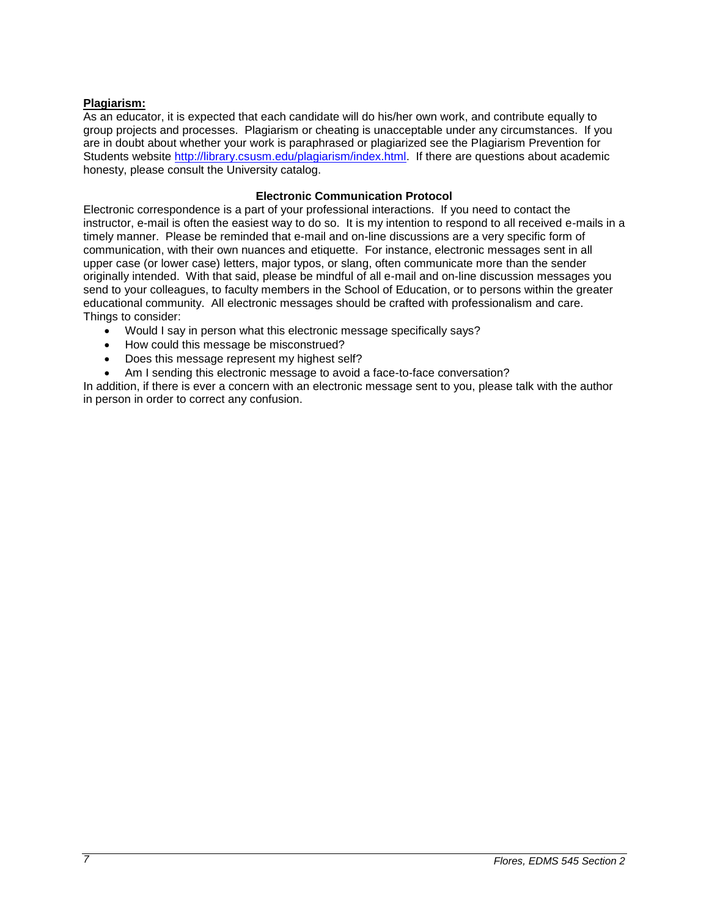# **Plagiarism:**

As an educator, it is expected that each candidate will do his/her own work, and contribute equally to group projects and processes. Plagiarism or cheating is unacceptable under any circumstances. If you are in doubt about whether your work is paraphrased or plagiarized see the Plagiarism Prevention for Students website [http://library.csusm.edu/plagiarism/index.html.](http://library.csusm.edu/plagiarism/index.html) If there are questions about academic honesty, please consult the University catalog.

### **Electronic Communication Protocol**

<span id="page-6-0"></span>Electronic correspondence is a part of your professional interactions. If you need to contact the instructor, e-mail is often the easiest way to do so. It is my intention to respond to all received e-mails in a timely manner. Please be reminded that e-mail and on-line discussions are a very specific form of communication, with their own nuances and etiquette. For instance, electronic messages sent in all upper case (or lower case) letters, major typos, or slang, often communicate more than the sender originally intended. With that said, please be mindful of all e-mail and on-line discussion messages you send to your colleagues, to faculty members in the School of Education, or to persons within the greater educational community. All electronic messages should be crafted with professionalism and care. Things to consider:

- Would I say in person what this electronic message specifically says?
- How could this message be misconstrued?
- Does this message represent my highest self?
- Am I sending this electronic message to avoid a face-to-face conversation?

In addition, if there is ever a concern with an electronic message sent to you, please talk with the author in person in order to correct any confusion.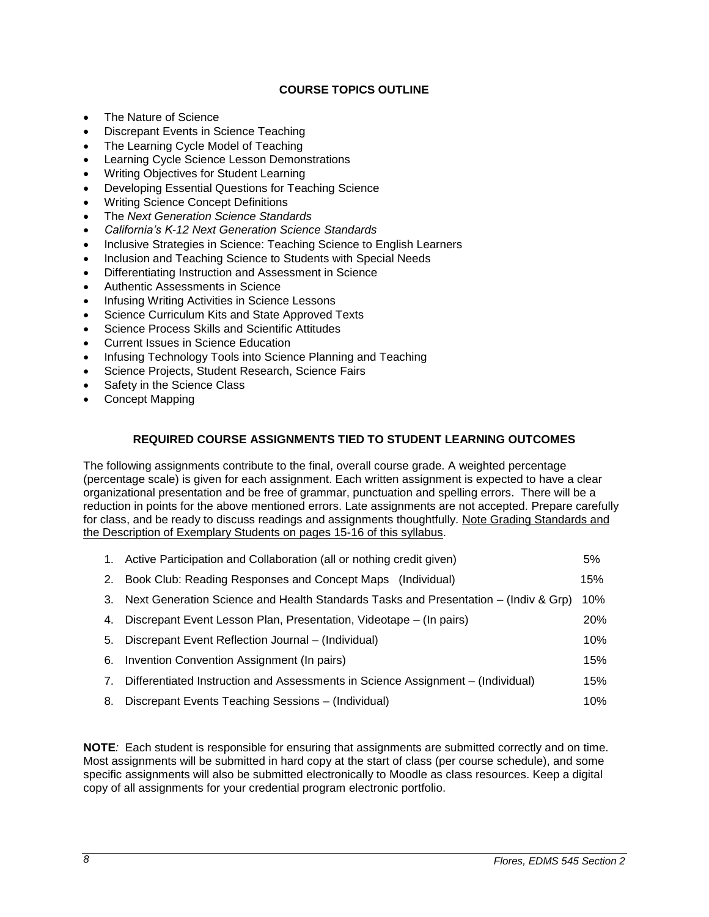# **COURSE TOPICS OUTLINE**

- <span id="page-7-0"></span>• The Nature of Science
- Discrepant Events in Science Teaching
- The Learning Cycle Model of Teaching
- Learning Cycle Science Lesson Demonstrations
- Writing Objectives for Student Learning
- Developing Essential Questions for Teaching Science
- Writing Science Concept Definitions
- The *Next Generation Science Standards*
- *California's K-12 Next Generation Science Standards*
- Inclusive Strategies in Science: Teaching Science to English Learners
- Inclusion and Teaching Science to Students with Special Needs
- Differentiating Instruction and Assessment in Science
- Authentic Assessments in Science
- Infusing Writing Activities in Science Lessons
- Science Curriculum Kits and State Approved Texts
- Science Process Skills and Scientific Attitudes
- Current Issues in Science Education
- Infusing Technology Tools into Science Planning and Teaching
- Science Projects, Student Research, Science Fairs
- Safety in the Science Class
- Concept Mapping

# **REQUIRED COURSE ASSIGNMENTS TIED TO STUDENT LEARNING OUTCOMES**

<span id="page-7-1"></span>The following assignments contribute to the final, overall course grade. A weighted percentage (percentage scale) is given for each assignment. Each written assignment is expected to have a clear organizational presentation and be free of grammar, punctuation and spelling errors. There will be a reduction in points for the above mentioned errors. Late assignments are not accepted. Prepare carefully for class, and be ready to discuss readings and assignments thoughtfully. Note Grading Standards and the Description of Exemplary Students on pages 15-16 of this syllabus.

|    | 1. Active Participation and Collaboration (all or nothing credit given)             | 5%  |
|----|-------------------------------------------------------------------------------------|-----|
|    | 2. Book Club: Reading Responses and Concept Maps (Individual)                       | 15% |
| 3. | Next Generation Science and Health Standards Tasks and Presentation – (Indiv & Grp) | 10% |
|    | 4. Discrepant Event Lesson Plan, Presentation, Videotape – (In pairs)               | 20% |
|    | 5. Discrepant Event Reflection Journal – (Individual)                               | 10% |
| 6. | Invention Convention Assignment (In pairs)                                          | 15% |
| 7. | Differentiated Instruction and Assessments in Science Assignment – (Individual)     | 15% |
| 8. | Discrepant Events Teaching Sessions - (Individual)                                  | 10% |

**NOTE***:* Each student is responsible for ensuring that assignments are submitted correctly and on time. Most assignments will be submitted in hard copy at the start of class (per course schedule), and some specific assignments will also be submitted electronically to Moodle as class resources. Keep a digital copy of all assignments for your credential program electronic portfolio.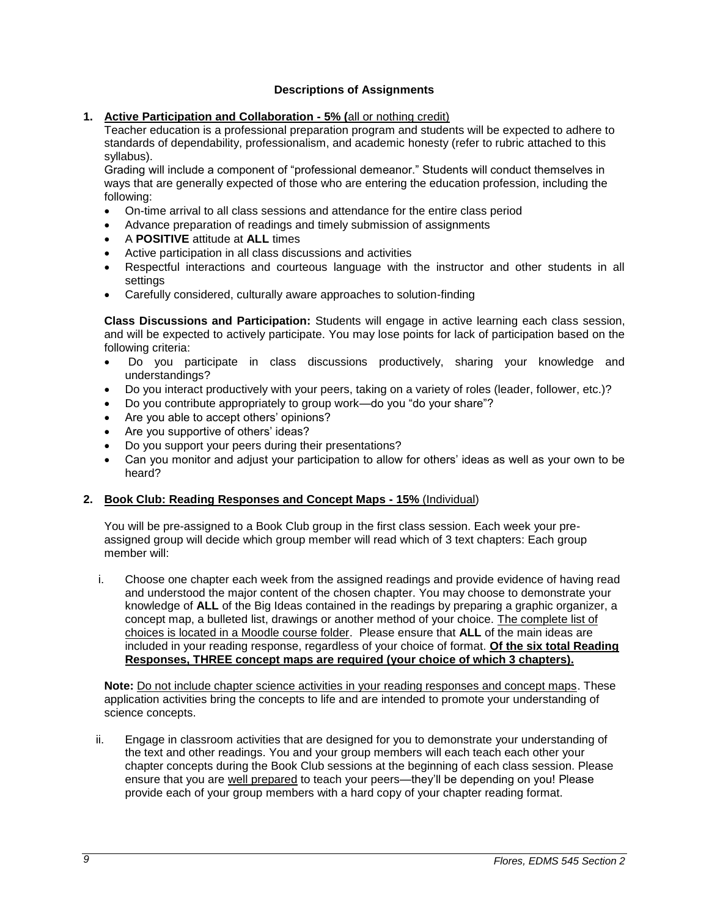# **Descriptions of Assignments**

# <span id="page-8-0"></span>**1. Active Participation and Collaboration - 5% (**all or nothing credit)

Teacher education is a professional preparation program and students will be expected to adhere to standards of dependability, professionalism, and academic honesty (refer to rubric attached to this syllabus).

Grading will include a component of "professional demeanor." Students will conduct themselves in ways that are generally expected of those who are entering the education profession, including the following:

- On-time arrival to all class sessions and attendance for the entire class period
- Advance preparation of readings and timely submission of assignments
- A **POSITIVE** attitude at **ALL** times
- Active participation in all class discussions and activities
- Respectful interactions and courteous language with the instructor and other students in all settings
- Carefully considered, culturally aware approaches to solution-finding

**Class Discussions and Participation:** Students will engage in active learning each class session, and will be expected to actively participate. You may lose points for lack of participation based on the following criteria:

- Do you participate in class discussions productively, sharing your knowledge and understandings?
- Do you interact productively with your peers, taking on a variety of roles (leader, follower, etc.)?
- Do you contribute appropriately to group work—do you "do your share"?
- Are you able to accept others' opinions?
- Are you supportive of others' ideas?
- Do you support your peers during their presentations?
- Can you monitor and adjust your participation to allow for others' ideas as well as your own to be heard?

# **2. Book Club: Reading Responses and Concept Maps - 15%** (Individual)

You will be pre-assigned to a Book Club group in the first class session. Each week your preassigned group will decide which group member will read which of 3 text chapters: Each group member will:

i. Choose one chapter each week from the assigned readings and provide evidence of having read and understood the major content of the chosen chapter. You may choose to demonstrate your knowledge of **ALL** of the Big Ideas contained in the readings by preparing a graphic organizer, a concept map, a bulleted list, drawings or another method of your choice. The complete list of choices is located in a Moodle course folder. Please ensure that **ALL** of the main ideas are included in your reading response, regardless of your choice of format. **Of the six total Reading Responses, THREE concept maps are required (your choice of which 3 chapters).**

**Note:** Do not include chapter science activities in your reading responses and concept maps. These application activities bring the concepts to life and are intended to promote your understanding of science concepts.

ii. Engage in classroom activities that are designed for you to demonstrate your understanding of the text and other readings. You and your group members will each teach each other your chapter concepts during the Book Club sessions at the beginning of each class session. Please ensure that you are well prepared to teach your peers—they'll be depending on you! Please provide each of your group members with a hard copy of your chapter reading format.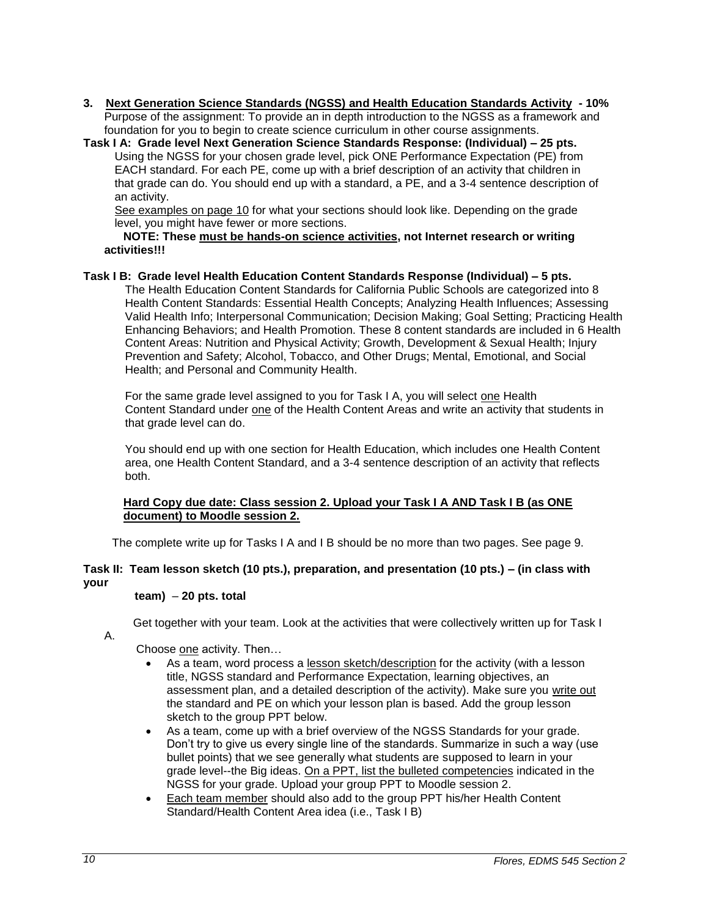- **3. Next Generation Science Standards (NGSS) and Health Education Standards Activity - 10%** Purpose of the assignment: To provide an in depth introduction to the NGSS as a framework and foundation for you to begin to create science curriculum in other course assignments.
- **Task I A: Grade level Next Generation Science Standards Response: (Individual) – 25 pts.** Using the NGSS for your chosen grade level, pick ONE Performance Expectation (PE) from EACH standard. For each PE, come up with a brief description of an activity that children in that grade can do. You should end up with a standard, a PE, and a 3-4 sentence description of an activity.

See examples on page 10 for what your sections should look like. Depending on the grade level, you might have fewer or more sections.

### **NOTE: These must be hands-on science activities, not Internet research or writing activities!!!**

### **Task I B: Grade level Health Education Content Standards Response (Individual) – 5 pts.**

The Health Education Content Standards for California Public Schools are categorized into 8 Health Content Standards: Essential Health Concepts; Analyzing Health Influences; Assessing Valid Health Info; Interpersonal Communication; Decision Making; Goal Setting; Practicing Health Enhancing Behaviors; and Health Promotion. These 8 content standards are included in 6 Health Content Areas: Nutrition and Physical Activity; Growth, Development & Sexual Health; Injury Prevention and Safety; Alcohol, Tobacco, and Other Drugs; Mental, Emotional, and Social Health; and Personal and Community Health.

For the same grade level assigned to you for Task I A, you will select one Health Content Standard under one of the Health Content Areas and write an activity that students in that grade level can do.

You should end up with one section for Health Education, which includes one Health Content area, one Health Content Standard, and a 3-4 sentence description of an activity that reflects both.

### **Hard Copy due date: Class session 2. Upload your Task I A AND Task I B (as ONE document) to Moodle session 2.**

The complete write up for Tasks I A and I B should be no more than two pages. See page 9.

# **Task II: Team lesson sketch (10 pts.), preparation, and presentation (10 pts.) – (in class with your**

# **team)** – **20 pts. total**

Get together with your team. Look at the activities that were collectively written up for Task I

A.

Choose one activity. Then…

- As a team, word process a lesson sketch/description for the activity (with a lesson title, NGSS standard and Performance Expectation, learning objectives, an assessment plan, and a detailed description of the activity). Make sure you write out the standard and PE on which your lesson plan is based. Add the group lesson sketch to the group PPT below.
- As a team, come up with a brief overview of the NGSS Standards for your grade. Don't try to give us every single line of the standards. Summarize in such a way (use bullet points) that we see generally what students are supposed to learn in your grade level--the Big ideas. On a PPT, list the bulleted competencies indicated in the NGSS for your grade. Upload your group PPT to Moodle session 2.
- Each team member should also add to the group PPT his/her Health Content Standard/Health Content Area idea (i.e., Task I B)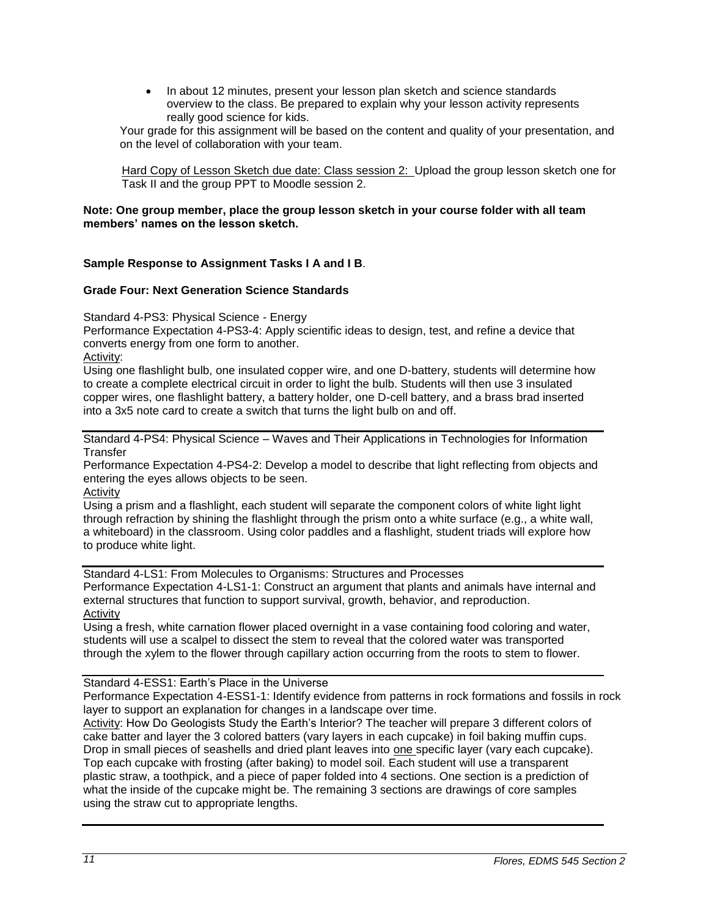• In about 12 minutes, present your lesson plan sketch and science standards overview to the class. Be prepared to explain why your lesson activity represents really good science for kids.

Your grade for this assignment will be based on the content and quality of your presentation, and on the level of collaboration with your team.

Hard Copy of Lesson Sketch due date: Class session 2: Upload the group lesson sketch one for Task II and the group PPT to Moodle session 2.

### **Note: One group member, place the group lesson sketch in your course folder with all team members' names on the lesson sketch.**

# **Sample Response to Assignment Tasks I A and I B**.

# **Grade Four: Next Generation Science Standards**

Standard 4-PS3: Physical Science - Energy

Performance Expectation 4-PS3-4: Apply scientific ideas to design, test, and refine a device that converts energy from one form to another.

Activity:

Using one flashlight bulb, one insulated copper wire, and one D-battery, students will determine how to create a complete electrical circuit in order to light the bulb. Students will then use 3 insulated copper wires, one flashlight battery, a battery holder, one D-cell battery, and a brass brad inserted into a 3x5 note card to create a switch that turns the light bulb on and off.

Standard 4-PS4: Physical Science – Waves and Their Applications in Technologies for Information **Transfer** 

Performance Expectation 4-PS4-2: Develop a model to describe that light reflecting from objects and entering the eyes allows objects to be seen.

Activity

Using a prism and a flashlight, each student will separate the component colors of white light light through refraction by shining the flashlight through the prism onto a white surface (e.g., a white wall, a whiteboard) in the classroom. Using color paddles and a flashlight, student triads will explore how to produce white light.

Standard 4-LS1: From Molecules to Organisms: Structures and Processes Performance Expectation 4-LS1-1: Construct an argument that plants and animals have internal and external structures that function to support survival, growth, behavior, and reproduction. Activity

Using a fresh, white carnation flower placed overnight in a vase containing food coloring and water, students will use a scalpel to dissect the stem to reveal that the colored water was transported through the xylem to the flower through capillary action occurring from the roots to stem to flower.

### Standard 4-ESS1: Earth's Place in the Universe

Performance Expectation 4-ESS1-1: Identify evidence from patterns in rock formations and fossils in rock layer to support an explanation for changes in a landscape over time.

Activity: How Do Geologists Study the Earth's Interior? The teacher will prepare 3 different colors of cake batter and layer the 3 colored batters (vary layers in each cupcake) in foil baking muffin cups. Drop in small pieces of seashells and dried plant leaves into one specific layer (vary each cupcake). Top each cupcake with frosting (after baking) to model soil. Each student will use a transparent plastic straw, a toothpick, and a piece of paper folded into 4 sections. One section is a prediction of what the inside of the cupcake might be. The remaining 3 sections are drawings of core samples using the straw cut to appropriate lengths.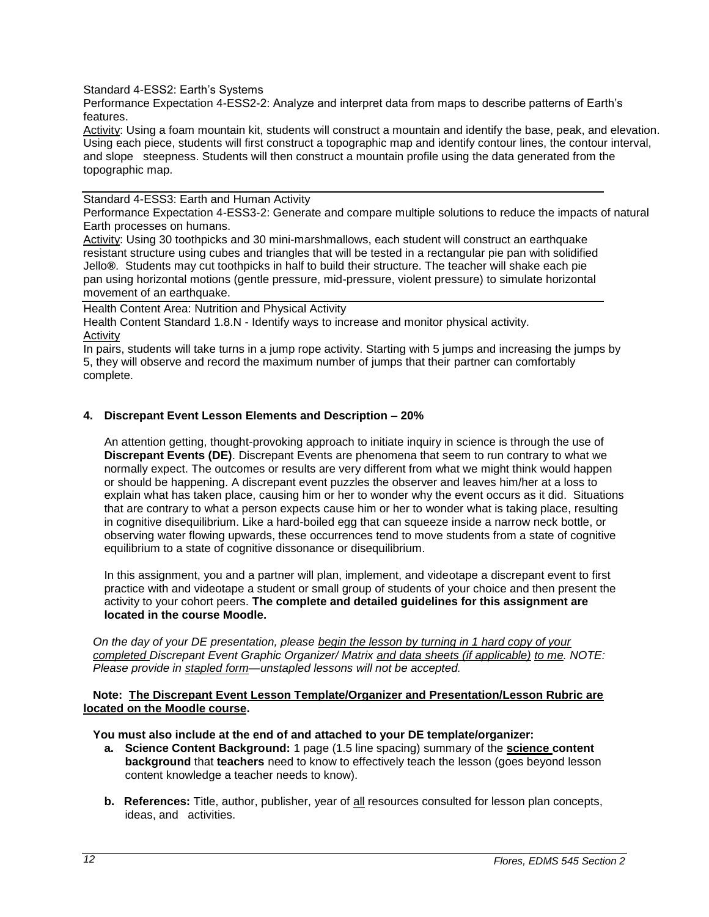Standard 4-ESS2: Earth's Systems

Performance Expectation 4-ESS2-2: Analyze and interpret data from maps to describe patterns of Earth's features.

Activity: Using a foam mountain kit, students will construct a mountain and identify the base, peak, and elevation. Using each piece, students will first construct a topographic map and identify contour lines, the contour interval, and slope steepness. Students will then construct a mountain profile using the data generated from the topographic map.

### Standard 4-ESS3: Earth and Human Activity

Performance Expectation 4-ESS3-2: Generate and compare multiple solutions to reduce the impacts of natural Earth processes on humans.

Activity: Using 30 toothpicks and 30 mini-marshmallows, each student will construct an earthquake resistant structure using cubes and triangles that will be tested in a rectangular pie pan with solidified Jello**®**. Students may cut toothpicks in half to build their structure. The teacher will shake each pie pan using horizontal motions (gentle pressure, mid-pressure, violent pressure) to simulate horizontal movement of an earthquake.

Health Content Area: Nutrition and Physical Activity

Health Content Standard 1.8.N - Identify ways to increase and monitor physical activity*.* Activity

In pairs, students will take turns in a jump rope activity. Starting with 5 jumps and increasing the jumps by 5, they will observe and record the maximum number of jumps that their partner can comfortably complete.

# **4. Discrepant Event Lesson Elements and Description – 20%**

An attention getting, thought-provoking approach to initiate inquiry in science is through the use of **Discrepant Events (DE)**. Discrepant Events are phenomena that seem to run contrary to what we normally expect. The outcomes or results are very different from what we might think would happen or should be happening. A discrepant event puzzles the observer and leaves him/her at a loss to explain what has taken place, causing him or her to wonder why the event occurs as it did. Situations that are contrary to what a person expects cause him or her to wonder what is taking place, resulting in cognitive disequilibrium. Like a hard-boiled egg that can squeeze inside a narrow neck bottle, or observing water flowing upwards, these occurrences tend to move students from a state of cognitive equilibrium to a state of cognitive dissonance or disequilibrium.

In this assignment, you and a partner will plan, implement, and videotape a discrepant event to first practice with and videotape a student or small group of students of your choice and then present the activity to your cohort peers. **The complete and detailed guidelines for this assignment are located in the course Moodle.**

*On the day of your DE presentation, please begin the lesson by turning in 1 hard copy of your completed Discrepant Event Graphic Organizer/ Matrix and data sheets (if applicable) to me. NOTE: Please provide in stapled form—unstapled lessons will not be accepted.* 

### **Note: The Discrepant Event Lesson Template/Organizer and Presentation/Lesson Rubric are located on the Moodle course.**

**You must also include at the end of and attached to your DE template/organizer:**

- **a. Science Content Background:** 1 page (1.5 line spacing) summary of the **science content background** that **teachers** need to know to effectively teach the lesson (goes beyond lesson content knowledge a teacher needs to know).
- **b.** References: Title, author, publisher, year of all resources consulted for lesson plan concepts, ideas, and activities.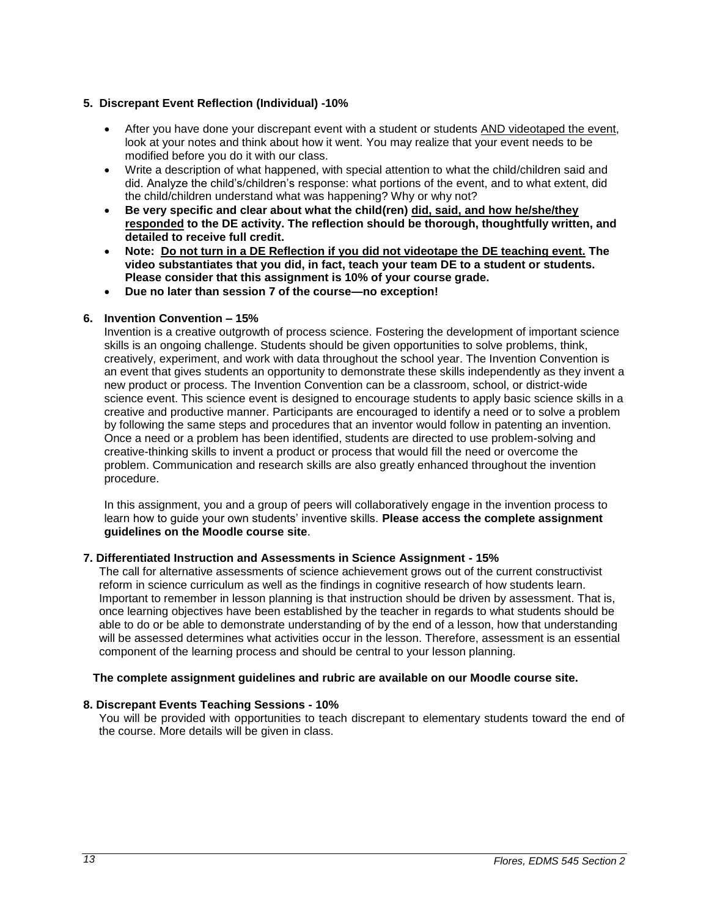# **5. Discrepant Event Reflection (Individual) -10%**

- After you have done your discrepant event with a student or students AND videotaped the event, look at your notes and think about how it went. You may realize that your event needs to be modified before you do it with our class.
- Write a description of what happened, with special attention to what the child/children said and did. Analyze the child's/children's response: what portions of the event, and to what extent, did the child/children understand what was happening? Why or why not?
- **Be very specific and clear about what the child(ren) did, said, and how he/she/they responded to the DE activity. The reflection should be thorough, thoughtfully written, and detailed to receive full credit.**
- **Note: Do not turn in a DE Reflection if you did not videotape the DE teaching event. The video substantiates that you did, in fact, teach your team DE to a student or students. Please consider that this assignment is 10% of your course grade.**
- **Due no later than session 7 of the course—no exception!**

# **6. Invention Convention – 15%**

Invention is a creative outgrowth of process science. Fostering the development of important science skills is an ongoing challenge. Students should be given opportunities to solve problems, think, creatively, experiment, and work with data throughout the school year. The Invention Convention is an event that gives students an opportunity to demonstrate these skills independently as they invent a new product or process. The Invention Convention can be a classroom, school, or district-wide science event. This science event is designed to encourage students to apply basic science skills in a creative and productive manner. Participants are encouraged to identify a need or to solve a problem by following the same steps and procedures that an inventor would follow in patenting an invention. Once a need or a problem has been identified, students are directed to use problem-solving and creative-thinking skills to invent a product or process that would fill the need or overcome the problem. Communication and research skills are also greatly enhanced throughout the invention procedure.

In this assignment, you and a group of peers will collaboratively engage in the invention process to learn how to guide your own students' inventive skills. **Please access the complete assignment guidelines on the Moodle course site**.

### **7. Differentiated Instruction and Assessments in Science Assignment - 15%**

The call for alternative assessments of science achievement grows out of the current constructivist reform in science curriculum as well as the findings in cognitive research of how students learn. Important to remember in lesson planning is that instruction should be driven by assessment. That is, once learning objectives have been established by the teacher in regards to what students should be able to do or be able to demonstrate understanding of by the end of a lesson, how that understanding will be assessed determines what activities occur in the lesson. Therefore, assessment is an essential component of the learning process and should be central to your lesson planning.

# **The complete assignment guidelines and rubric are available on our Moodle course site.**

# **8. Discrepant Events Teaching Sessions - 10%**

<span id="page-12-0"></span>You will be provided with opportunities to teach discrepant to elementary students toward the end of the course. More details will be given in class.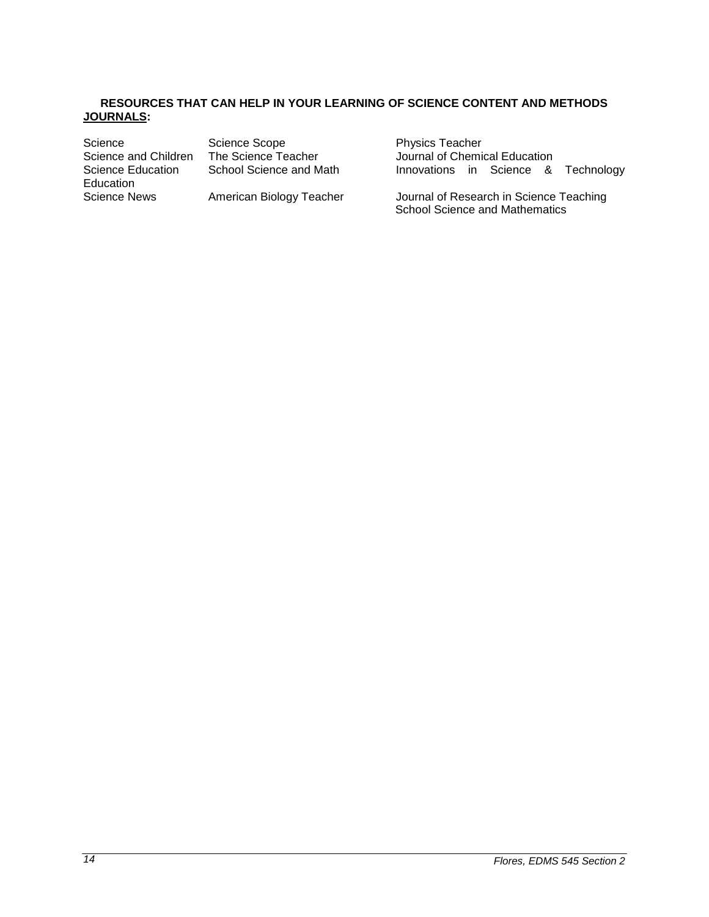### **RESOURCES THAT CAN HELP IN YOUR LEARNING OF SCIENCE CONTENT AND METHODS JOURNALS:**

Science Science Scope Physics Teacher<br>Science and Children The Science Teacher Journal of Chemi Science and Children The Science Teacher Journal of Chemical Education<br>Science Education School Science and Math Innovations in Science & Education

Innovations in Science & Technology

Science News American Biology Teacher Journal of Research in Science Teaching School Science and Mathematics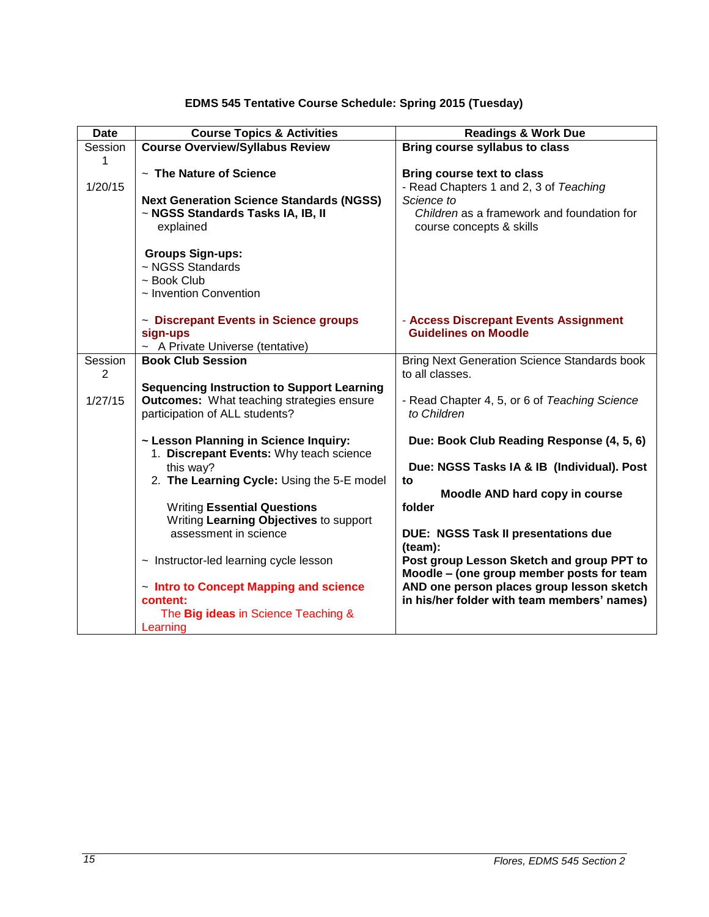| EDMS 545 Tentative Course Schedule: Spring 2015 (Tuesday) |  |  |  |
|-----------------------------------------------------------|--|--|--|
|-----------------------------------------------------------|--|--|--|

<span id="page-14-0"></span>

| <b>Date</b>  | <b>Course Topics &amp; Activities</b>                                                                                                   | <b>Readings &amp; Work Due</b>                                                                                                                                      |
|--------------|-----------------------------------------------------------------------------------------------------------------------------------------|---------------------------------------------------------------------------------------------------------------------------------------------------------------------|
| Session      | <b>Course Overview/Syllabus Review</b>                                                                                                  | Bring course syllabus to class                                                                                                                                      |
| 1<br>1/20/15 | ~ The Nature of Science<br><b>Next Generation Science Standards (NGSS)</b><br>~ NGSS Standards Tasks IA, IB, II<br>explained            | <b>Bring course text to class</b><br>- Read Chapters 1 and 2, 3 of Teaching<br>Science to<br>Children as a framework and foundation for<br>course concepts & skills |
|              | <b>Groups Sign-ups:</b><br>~ NGSS Standards<br>$\sim$ Book Club<br>~ Invention Convention<br>~ Discrepant Events in Science groups      | - Access Discrepant Events Assignment                                                                                                                               |
|              | sign-ups<br>~ A Private Universe (tentative)                                                                                            | <b>Guidelines on Moodle</b>                                                                                                                                         |
| Session<br>2 | <b>Book Club Session</b>                                                                                                                | <b>Bring Next Generation Science Standards book</b><br>to all classes.                                                                                              |
| 1/27/15      | <b>Sequencing Instruction to Support Learning</b><br><b>Outcomes:</b> What teaching strategies ensure<br>participation of ALL students? | - Read Chapter 4, 5, or 6 of Teaching Science<br>to Children                                                                                                        |
|              | ~ Lesson Planning in Science Inquiry:                                                                                                   | Due: Book Club Reading Response (4, 5, 6)                                                                                                                           |
|              | 1. Discrepant Events: Why teach science<br>this way?                                                                                    | Due: NGSS Tasks IA & IB (Individual). Post                                                                                                                          |
|              | 2. The Learning Cycle: Using the 5-E model                                                                                              | to                                                                                                                                                                  |
|              |                                                                                                                                         | Moodle AND hard copy in course                                                                                                                                      |
|              | <b>Writing Essential Questions</b><br>Writing Learning Objectives to support                                                            | folder                                                                                                                                                              |
|              | assessment in science                                                                                                                   | <b>DUE: NGSS Task II presentations due</b><br>(team):                                                                                                               |
|              | $\sim$ Instructor-led learning cycle lesson                                                                                             | Post group Lesson Sketch and group PPT to<br>Moodle - (one group member posts for team                                                                              |
|              | ~ Intro to Concept Mapping and science<br>content:                                                                                      | AND one person places group lesson sketch<br>in his/her folder with team members' names)                                                                            |
|              | The Big ideas in Science Teaching &<br>Learning                                                                                         |                                                                                                                                                                     |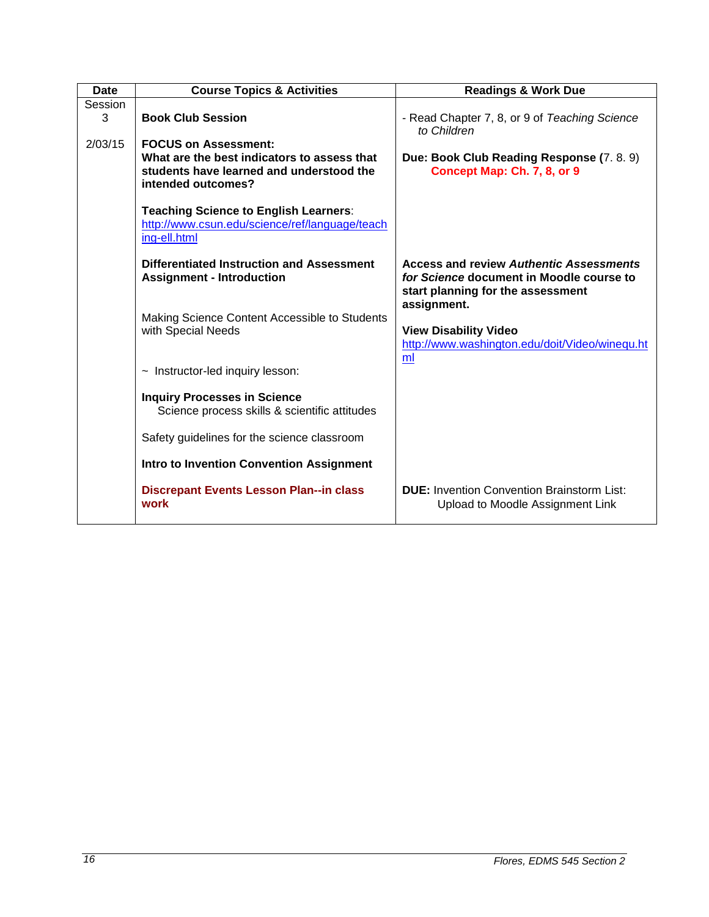| <b>Date</b> | <b>Course Topics &amp; Activities</b>                                                                         | <b>Readings &amp; Work Due</b>                                                        |
|-------------|---------------------------------------------------------------------------------------------------------------|---------------------------------------------------------------------------------------|
| Session     |                                                                                                               |                                                                                       |
| 3           | <b>Book Club Session</b>                                                                                      | - Read Chapter 7, 8, or 9 of Teaching Science<br>to Children                          |
| 2/03/15     | <b>FOCUS on Assessment:</b>                                                                                   |                                                                                       |
|             | What are the best indicators to assess that<br>students have learned and understood the<br>intended outcomes? | Due: Book Club Reading Response (7.8.9)<br>Concept Map: Ch. 7, 8, or 9                |
|             | <b>Teaching Science to English Learners:</b>                                                                  |                                                                                       |
|             | http://www.csun.edu/science/ref/language/teach<br>ing-ell.html                                                |                                                                                       |
|             | Differentiated Instruction and Assessment                                                                     | <b>Access and review Authentic Assessments</b>                                        |
|             | <b>Assignment - Introduction</b>                                                                              | for Science document in Moodle course to<br>start planning for the assessment         |
|             |                                                                                                               | assignment.                                                                           |
|             | Making Science Content Accessible to Students<br>with Special Needs                                           | <b>View Disability Video</b>                                                          |
|             |                                                                                                               | http://www.washington.edu/doit/Video/winequ.ht                                        |
|             |                                                                                                               | ml                                                                                    |
|             | ~ Instructor-led inquiry lesson:                                                                              |                                                                                       |
|             | <b>Inquiry Processes in Science</b><br>Science process skills & scientific attitudes                          |                                                                                       |
|             | Safety guidelines for the science classroom                                                                   |                                                                                       |
|             | <b>Intro to Invention Convention Assignment</b>                                                               |                                                                                       |
|             | <b>Discrepant Events Lesson Plan--in class</b><br>work                                                        | <b>DUE:</b> Invention Convention Brainstorm List:<br>Upload to Moodle Assignment Link |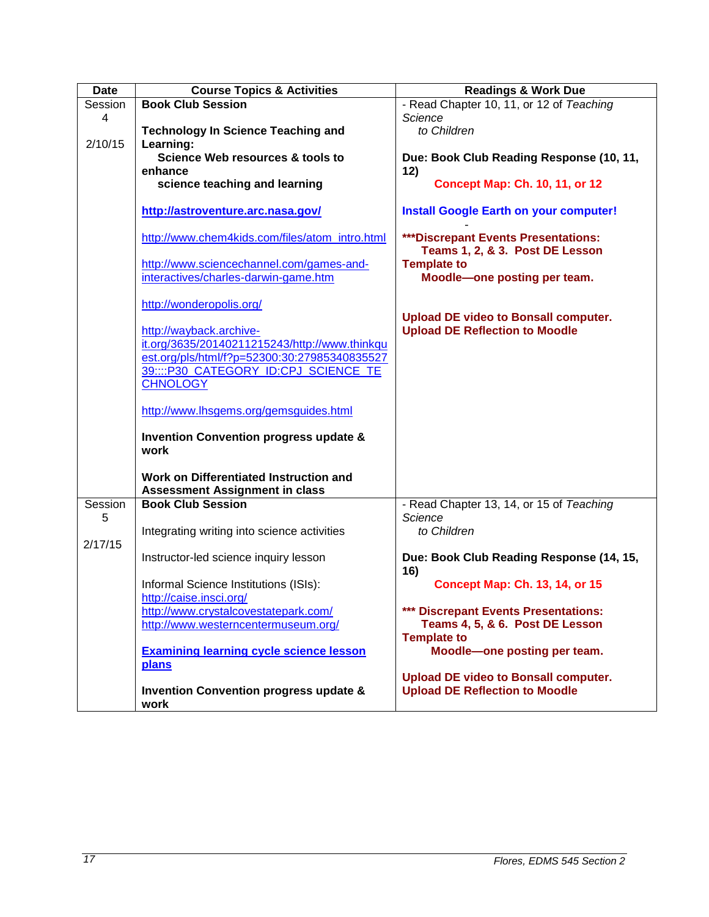| <b>Date</b> | <b>Course Topics &amp; Activities</b>                     | <b>Readings &amp; Work Due</b>                                         |
|-------------|-----------------------------------------------------------|------------------------------------------------------------------------|
| Session     | <b>Book Club Session</b>                                  | - Read Chapter 10, 11, or 12 of Teaching                               |
| 4           |                                                           | <b>Science</b>                                                         |
|             | <b>Technology In Science Teaching and</b>                 | to Children                                                            |
| 2/10/15     | Learning:                                                 |                                                                        |
|             | Science Web resources & tools to                          | Due: Book Club Reading Response (10, 11,                               |
|             | enhance                                                   | 12)                                                                    |
|             | science teaching and learning                             | <b>Concept Map: Ch. 10, 11, or 12</b>                                  |
|             | http://astroventure.arc.nasa.gov/                         | <b>Install Google Earth on your computer!</b>                          |
|             | http://www.chem4kids.com/files/atom_intro.html            | ***Discrepant Events Presentations:<br>Teams 1, 2, & 3. Post DE Lesson |
|             | http://www.sciencechannel.com/games-and-                  | <b>Template to</b>                                                     |
|             | interactives/charles-darwin-game.htm                      | Moodle-one posting per team.                                           |
|             |                                                           |                                                                        |
|             | http://wonderopolis.org/                                  | <b>Upload DE video to Bonsall computer.</b>                            |
|             | http://wayback.archive-                                   | <b>Upload DE Reflection to Moodle</b>                                  |
|             | it.org/3635/20140211215243/http://www.thinkqu             |                                                                        |
|             | est.org/pls/html/f?p=52300:30:27985340835527              |                                                                        |
|             | 39::::P30_CATEGORY_ID:CPJ_SCIENCE_TE                      |                                                                        |
|             | <b>CHNOLOGY</b>                                           |                                                                        |
|             | http://www.lhsgems.org/gemsguides.html                    |                                                                        |
|             | <b>Invention Convention progress update &amp;</b><br>work |                                                                        |
|             |                                                           |                                                                        |
|             | Work on Differentiated Instruction and                    |                                                                        |
|             | <b>Assessment Assignment in class</b>                     |                                                                        |
| Session     | <b>Book Club Session</b>                                  | - Read Chapter 13, 14, or 15 of Teaching                               |
| 5           |                                                           | Science                                                                |
|             | Integrating writing into science activities               | to Children                                                            |
| 2/17/15     |                                                           |                                                                        |
|             | Instructor-led science inquiry lesson                     | Due: Book Club Reading Response (14, 15,<br>16)                        |
|             | Informal Science Institutions (ISIs):                     | <b>Concept Map: Ch. 13, 14, or 15</b>                                  |
|             | http://caise.insci.org/                                   |                                                                        |
|             | http://www.crystalcovestatepark.com/                      | *** Discrepant Events Presentations:                                   |
|             | http://www.westerncentermuseum.org/                       | Teams 4, 5, & 6. Post DE Lesson                                        |
|             |                                                           | <b>Template to</b>                                                     |
|             | <b>Examining learning cycle science lesson</b>            | Moodle-one posting per team.                                           |
|             | plans                                                     |                                                                        |
|             |                                                           | <b>Upload DE video to Bonsall computer.</b>                            |
|             | <b>Invention Convention progress update &amp;</b>         | <b>Upload DE Reflection to Moodle</b>                                  |
|             | work                                                      |                                                                        |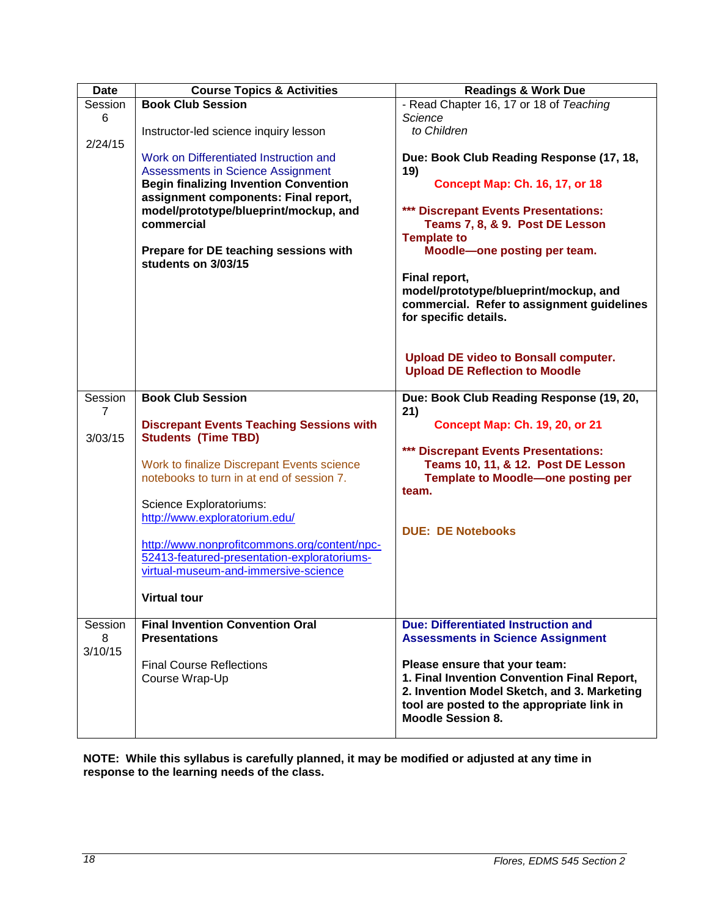| <b>Date</b> | <b>Course Topics &amp; Activities</b>                                                | <b>Readings &amp; Work Due</b>               |
|-------------|--------------------------------------------------------------------------------------|----------------------------------------------|
| Session     | <b>Book Club Session</b>                                                             | - Read Chapter 16, 17 or 18 of Teaching      |
| 6           |                                                                                      | Science                                      |
|             | Instructor-led science inquiry lesson                                                | to Children                                  |
| 2/24/15     |                                                                                      |                                              |
|             | Work on Differentiated Instruction and                                               | Due: Book Club Reading Response (17, 18,     |
|             | <b>Assessments in Science Assignment</b>                                             | 19)                                          |
|             | <b>Begin finalizing Invention Convention</b><br>assignment components: Final report, | <b>Concept Map: Ch. 16, 17, or 18</b>        |
|             | model/prototype/blueprint/mockup, and                                                | *** Discrepant Events Presentations:         |
|             | commercial                                                                           | Teams 7, 8, & 9. Post DE Lesson              |
|             |                                                                                      | <b>Template to</b>                           |
|             | Prepare for DE teaching sessions with                                                | Moodle-one posting per team.                 |
|             | students on 3/03/15                                                                  |                                              |
|             |                                                                                      | Final report,                                |
|             |                                                                                      | model/prototype/blueprint/mockup, and        |
|             |                                                                                      | commercial. Refer to assignment guidelines   |
|             |                                                                                      | for specific details.                        |
|             |                                                                                      |                                              |
|             |                                                                                      |                                              |
|             |                                                                                      | <b>Upload DE video to Bonsall computer.</b>  |
|             |                                                                                      | <b>Upload DE Reflection to Moodle</b>        |
|             |                                                                                      |                                              |
| Session     | <b>Book Club Session</b>                                                             | Due: Book Club Reading Response (19, 20,     |
| 7           | <b>Discrepant Events Teaching Sessions with</b>                                      | 21)<br><b>Concept Map: Ch. 19, 20, or 21</b> |
| 3/03/15     | <b>Students (Time TBD)</b>                                                           |                                              |
|             |                                                                                      | *** Discrepant Events Presentations:         |
|             | Work to finalize Discrepant Events science                                           | Teams 10, 11, & 12. Post DE Lesson           |
|             | notebooks to turn in at end of session 7.                                            | Template to Moodle-one posting per           |
|             |                                                                                      | team.                                        |
|             | Science Exploratoriums:                                                              |                                              |
|             | http://www.exploratorium.edu/                                                        |                                              |
|             |                                                                                      | <b>DUE: DE Notebooks</b>                     |
|             | http://www.nonprofitcommons.org/content/npc-                                         |                                              |
|             | 52413-featured-presentation-exploratoriums-                                          |                                              |
|             | virtual-museum-and-immersive-science                                                 |                                              |
|             |                                                                                      |                                              |
|             | <b>Virtual tour</b>                                                                  |                                              |
| Session     | <b>Final Invention Convention Oral</b>                                               | <b>Due: Differentiated Instruction and</b>   |
| 8           | <b>Presentations</b>                                                                 | <b>Assessments in Science Assignment</b>     |
| 3/10/15     |                                                                                      |                                              |
|             | <b>Final Course Reflections</b>                                                      | Please ensure that your team:                |
|             | Course Wrap-Up                                                                       | 1. Final Invention Convention Final Report,  |
|             |                                                                                      | 2. Invention Model Sketch, and 3. Marketing  |
|             |                                                                                      | tool are posted to the appropriate link in   |
|             |                                                                                      | <b>Moodle Session 8.</b>                     |
|             |                                                                                      |                                              |

**NOTE: While this syllabus is carefully planned, it may be modified or adjusted at any time in response to the learning needs of the class.**